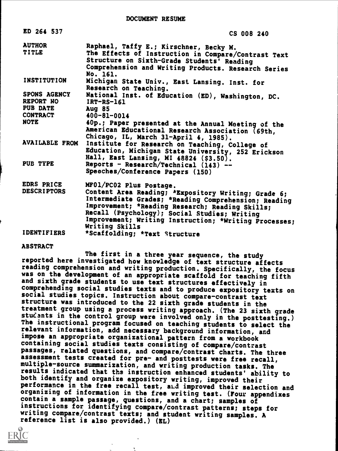DOCUMENT RESUME

| ED 264 537                                               | CS 008 240                                                                                                                                                                                                                                                                                                           |
|----------------------------------------------------------|----------------------------------------------------------------------------------------------------------------------------------------------------------------------------------------------------------------------------------------------------------------------------------------------------------------------|
| <b>AUTHOR</b><br><b>TITLE</b>                            | Raphael, Taffy E.; Kirschner, Becky M.<br>The Effects of Instruction in Compare/Contrast Text<br>Structure on Sixth-Grade Students' Reading<br>Comprehension and Writing Products. Research Series<br>No. 161.                                                                                                       |
| <b>INSTITUTION</b>                                       | Michigan State Univ., East Lansing. Inst. for<br>Research on Teaching.                                                                                                                                                                                                                                               |
| SPONS AGENCY<br>REPORT HO<br>PUB DATE<br><b>CONTRACT</b> | National Inst. of Education (ED), Washington, DC.<br>$IRT-RS-161$<br><b>Aug 85</b><br>400-81-0014                                                                                                                                                                                                                    |
| <b>NOTE</b>                                              | 40p.; Paper presented at the Annual Moeting of the<br>American Educational Research Association (69th,<br>Chicago, IL, March 31-April 4, 1985).                                                                                                                                                                      |
| <b>AVAILABLE FROM</b>                                    | Institute for Research on Teaching, College of<br>Education, Michigan State University, 252 Erickson<br>Hall, East Lansing, MI 48824 (\$3.50).                                                                                                                                                                       |
| PUB TYPE                                                 | Reports - Research/Technical (143) --<br>Speeches/Conference Papers (150)                                                                                                                                                                                                                                            |
| EDRS PRICE<br><b>DESCRIPTORS</b>                         | MF01/PC02 Plus Postage.<br>Content Area Reading; *Expository Writing; Grade 6;<br>Intermediate Grades; *Reading Comprehension; Reading<br>Improvement; *Reading Research; Reading Skills;<br>Recall (Psychology); Social Studies; Writing<br>Improvement; Writing Instruction; *Writing Processes;<br>Writing Skills |
| <b>IDENTIFIERS</b>                                       | *Scaffolding; *Text Structure                                                                                                                                                                                                                                                                                        |

ABSTRACT

The first in a three year sequence, the study reported here investigated how knowledge of text structure affects<br>reading comprehension and writing production. Specifically, the focus was on the development of an appropriate scaffold for teaching fifth and sixth grade students to use text structures effectively in comprehending social studies texts and to produce expository texts on social studies topics. Instruction about compare-contrast text structure was introduced to the 22 sixth grade students in the<br>treatment group using a process writing approach. (The 23 sixth grade students in the control group were involved only in the posttesting.) The instructional program focused on teaching students to select the relevant information, add necessary background information, and impose an appropriate organizational pattern from a workbook containing social studies texts consisting of compare/contrast passages, related questions, and compare/contrast charts. The three assessment tests created for pre- and posttests were free recall, multiple-source summarization, and writing production tasks. The results indicated that the instruction enhanced students' ability to both identify and organize expository writing, improved their performance in the free recall test, and improved their selection and organizing of information in the free writing test. (Four appendixes contain a sample passage, questions, and a chart; samples of instructions for identifying compare/contrast patterns; steps for writing compare/contrast texts; and student writing samples. A reference list is also provided.) (EL)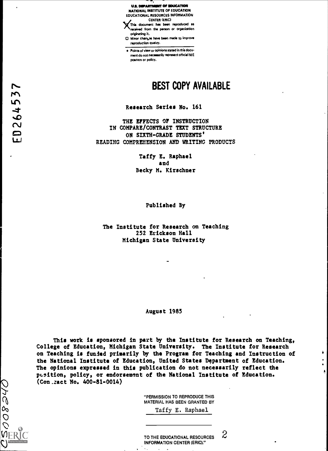

0 Minor chanuss have been made to improve reproduction quality.

Points of view or opinions stated in this docu ment do not necessarily represent official NIE position or policy.

## r.. BEST COPY AVAILABLE

### Research Series No. 161

THE EFFECTS OF INSTRUCTION IN COMPARE/CONTRAST TEXT STRUCTURE CM ON SIXTH-GRADE STUDENTS' READING COMPREHENSION AND WRITING PRODUCTS

> Taffy E. Raphael and Becky M. Kirschner

> > Published By

The Institute for Research on Teaching 252 Erickson Hall Michigan State University

### August 1985

This work is sponsored in part by the Institute for Research on Teaching, College of Education, Michigan State University. The Institute for Research on Teaching is funded primarily by the Program for Teaching and Instruction of the National Institute of Education, United States Department of Education. The opinions expressed in this publication do not necessarily reflect the psition, policy, or endorsement of the National Institute of Education. (Con.zact No. 400-81-0014)

00 0

 $\mathcal{P}$  $111$  $\overline{\mathbf{v}}$ 

 $\vee$ 

"PERMISSION TO REPRODUCE THIS MATERIAL HAS BEEN GRANTED BY

Taffy E. Raphael

TO THE EDUCATIONAL RESOURCES  $2$ INFORMATION CENTER (ERIC)."

Ą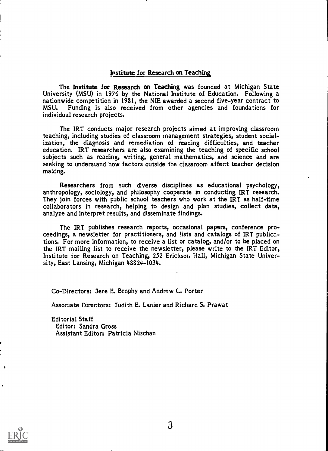### Institute for Research on Teaching

The Institute for Research on Teaching was founded at Michigan State University (MSU) in 1976 by the National Institute of Education. Following a nationwide competition in 1981, the NIE awarded a second five-year contract to<br>MSU. Funding is also received from other agencies and foundations for Funding is also received from other agencies and foundations for individual research projects.

The IRT conducts major research projects aimed at improving classroom teaching, including studies of classroom management strategies, student socialization; the diagnosis and remediation of reading difficulties, and teacher education. IRT researchers are also examining the teaching of specific school subjects such as reading, writing, general mathematics, and science and are seeking to understand how factors outside the classroom affect teacher decision making.

Researchers from such diverse disciplines as educational psychology, anthropology, sociology, and philosophy cooperate in conducting IRT research. They join forces with public school teachers who work at the IRT as half-time collaborators in research, helping to design and plan studies, collect data, analyze and interpret results, and disseminate findings.

The IRT publishes research reports, occasional papers, conference proceedings, a newsletter for practitioners, and lists and catalogs of IRT publications. For more information, to receive a list or catalog, and/or to be placed on the IRT mailing list to receive the newsletter, please write to the IRT Editor, Institute for Research on Teaching, 252 Erickson Hall, Michigan State University, East Lansing, Michigan 48824-1034.

Co-Directors: Jere E. Brophy and Andrew C. Porter

Associate Directors: Judith E. Lanier and Richard S. Prawat

Editorial Staff Editor: Sandra Gross Assistant Editor: Patricia Nischan

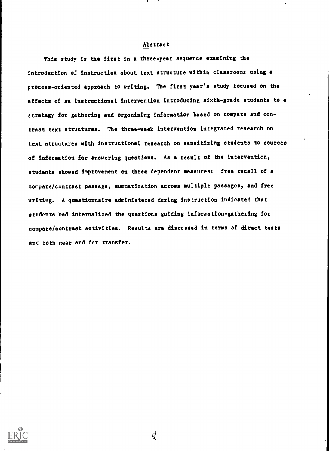### Abstract

This study is the first in a three-year sequence examining the introduction of instruction about text structure within classrooms using a process-oriented approach to writing. The first year's study focused on the effects of an instructional intervention introducing sixth-grade students to a strategy for gathering and organizing information based on compare and contrast text structures. The three-week intervention integrated research on text structures with instructional research on sensitizing students to sources of information for answering questions. As a result of the intervention, students showed improvement on three dependent measures: free recall of a compare/contrast passage, summarization across multiple passages, and free writing. A questionnaire administered during instruction indicated that students had internalized the questions guiding information-gathering for compare/contrast activities. Results are discussed in terms of direct tests and both near and far transfer.

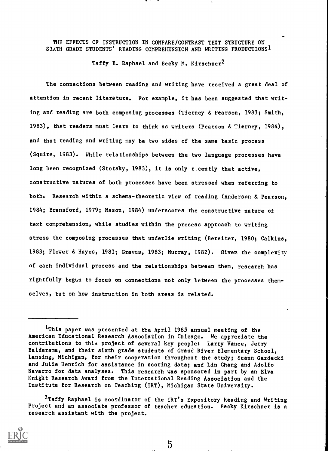### THE EFFECTS OF INSTRUCTION IN COMPARE/CONTRAST TEXT STRUCTURE ON SIXTH GRADE STUDENTS' READING COMPREHENSION AND WRITING PRODUCTIONS1

Taffy E. Raphael and Becky M. Kirschner<sup>2</sup>

The connections between reading and writing have received a great deal of attention in recent literature. For example, it has been suggested that writing and reading are both composing processes (Tierney & Pearson, 1983; Smith, 1983), that readers must learn to think as writers (Pearson & Tierney, 1984), and that reading and writing may be two sides of the same basic process (Squire, 1983). While relationships between the two language processes have long been recognized (Stotsky, 1983), it is only recently that active, constructive natures of both processes have been stressed when referring to both. Research within a schema-theoretic view of reading (Anderson & Pearson, 1984; Bransford, 1979; Mason, 1984) underscores the constructive nature of text comprehension, while studies within the process approach to writing stress the composing processes that underlie writing (Bereiter, 1980; Calkins, 1983; Flower & Hayes, 1981; Graves, 1983; Murray, 1982). Given the complexity of each individual process and the relationships between them, research has rightfully begun to focus on connections not only between the processes themselves, but on how instruction in both areas is related.

<sup>&</sup>lt;sup>2</sup>Taffy Raphael is coordinator of the IRT's Expository Reading and Writing Project and an associate professor of teacher education. Becky Kirschner is a research assistant with the project.



 $\mathbf 5$ 

<sup>1</sup>This paper was presented at the April 1985 annual meeting of the American Educational Research Association in Chicago. We appreciate the contributions to this project of several key people: Larry Vance, Jerry Balderama, and their sixth grade students of Grand River Elementary School, Lansing, Michigan, for their cooperation throughout the study; Suann Gazdecki and Julie Henrich for assistance in scoring data; and Lin Chang and Adolfo Navarro for data analyses. This research was sponsored in part by an Elva Knight Research Award from the International Reading Association and the Institute for Research on reaching (IRT), Michigan State University.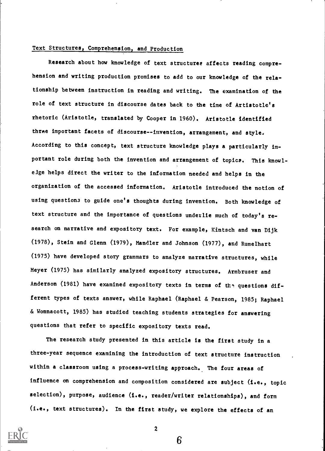### Text Structures, Comprehension, and Production

Research about how knowledge of text structures affects reading comprehension and writing production promises to add to our knowledge of the relationship between instruction in reading and writing. The examination of the role of text structure in discourse dates back to the time of Artistotle'a rhetoric (Aristotle, translated by Cooper in 1960). Aristotle identified three important facets of discourse-- invention, arrangement, and style. According to this concept, text structure knowledge plays a particularly important role during both the invention and arrangement of topics. This knowleige helps direct the writer to the information needed and helps in the organization of the accessed information. Aristotle introduced the notion of using question3 to guide one's thoughts during invention. Both knowledge of text structure and the importance of questions underlie much of today's re search on narrative and expository text. For example, Kintsch and van Dijk (1978), Stein and Glenn (1979), Mandler and Johnson (1977), and Rumelhart (1975) have developed story grammars to analyze narrative structures, while Meyer (1975) has similarly analyzed expository structures. Armbruser and Anderson (1981) have examined expository texts in terms of the questions different types of texts answer, while Raphael (Raphael & Pearson, 1985; Raphael & Wonnacott, 1985) has studied teaching students strategies for answering questions that refer to specific expository texts read.

The research study presented in this article is the first study in a three-year sequence examining the introduction of text structure instruction within a classroom using a process-writing approach. The four areas of influence on comprehension and composition considered are subject (i.e., topic selection), purpose, audience (i.e., reader/writer relationships), and form (i.e., text structures). In the first study, we explore the effects of an



2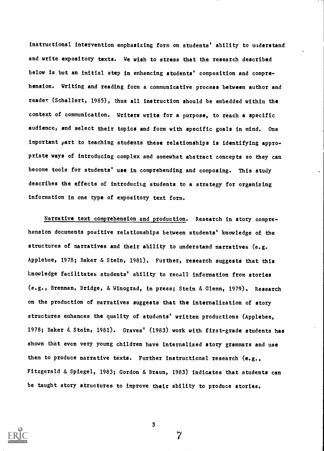instructional intervention emphasizing form on students' ability to understand and write expository texts. We wish to stress that the research described below is but an initial step in enhancing students' composition and comprehension. Writing and reading form a communicative process between author and reader (Schallert, 1985), thus all instruction should be embedded within the context of communication. Writers write for a purpose, to reach a specific audience, and select their topics and form with specific goals in mind. One important part to teaching students these relationships is identifying appropriate ways of introducing complex and somewhat abstract concepts so they can become tools for students' use in comprehending and composing. This study describes the effects of introducing students to a strategy for organizing information in one type of expository text form.

Narrative text comprehension and production. Research in story comprehension documents positive relationships between students' knowledge of the structures of narratives and their ability to understand narratives (e.g. Applebee, 1978; Baker & Stein, 1981). Further, research suggests that this knowledge facilitates students' ability to recall information from stories (e.g., Brennan, Bridge, & Winograd, in press; Stein & Glenn, 1979). Research on the production of narratives suggests that the internalization of story structures enhances the quality of students' written productions (Applebee, 1978; Baker & Stein, 1981). Graves' (1983) work with first-grade students has shown that even very young children have internalized story grammars and use them to produce narrative texts. Further instructional research (e.g., Fitzgerald & Spiegel, 1983; Gordon & Braun, 1983) indicates that students can be taught story structures to improve their ability to produce stories.



3

 $\overline{7}$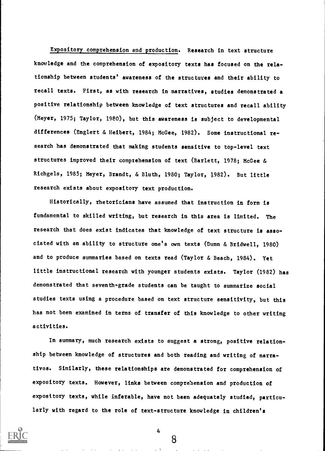Expository comprehension and production. Research in text structure knowledge and the comprehension of expository texts has focused on the relationship between students' awareness of the structures and their ability to recall texts. First, as with research in narratives, studies demonstrated a positive relationship between knowledge of text structures and recall ability (Meyer, 1975; Taylor, 1980), but this awareness is subject to developmental differences (Englert & Heibert, 1984; McGee, 1982). Some instructional research has demonstrated that making students sensitive to top-level text structures improved their comprehension of text (Barlett, 1978; McGee & Richgels, 1985; Meyer, Brandt, & Bluth, 1980; Taylor, 1982). But little research exists about expository text production.

Historically, rhetoricians have assumed that instruction in form is fundamental to skilled writing, but research in this area is limited. The research that does exist indicates that knowledge of text structure is asso ciated with an ability to structure one's own texts (Dunn & Bridwell, 1980) and to produce summaries based on texts read (Taylor & Beach, 1984). Yet little instructional research with younger students exists. Taylor (1982) has demonstrated that seventh-grade students can be taught to summarize social studies texts using a procedure based on text structure sensitivity, but this has not been examined in terms of transfer of this knowledge to other writing activities.

In summary, much research exists to suggest a strong, positive relationship between knowledge of structures and both reading and writing of narratives. Similarly, these relationships are demonstrated for comprehension of expository texts. However, links between comprehension and production of expository texts, while inferable, have not been adequately studied, particularly with regard to the role of text-structure knowledge in children's



4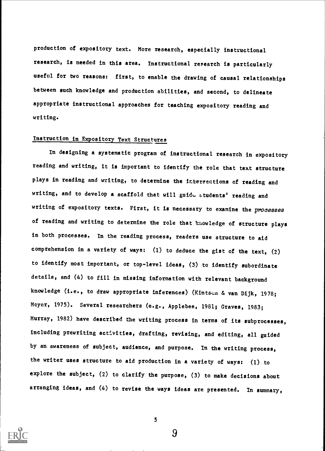production of expository text. More research, especially instructional research, is needed in this area. Instructional research is particularly useful for two reasons: first, to enable the drawing of causal relationships between such knowledge and production abilities, and second, to delineate appropriate instructional approaches for teaching expository reading and writing.

### Instruction in Expository Text Structures

In designing a systematic program of instructional research in expository reading and writing, it is important to identify the role that text structure plays in reading and writing, to determine the intersections of reading and writing, and to develop a scaffold that will guide atudents' reading and writing of expository texts. First, it is necessary to examine the processes of reading and writing to determine the role that knowledge of structure plays in both processes. In the reading process, readers use structure to aid comprehension in a variety of ways: (1) to deduce the gist of the text, (2) to identify most important, or top-level ideas, (3) to identify subordinate details, and (4) to fill in missing information with relevant background knowledge (i.e., to draw appropriate inferences) (Kintsen & van Dijk, 1978; Meyer, 1975). Several researchers (e.g., Applebee, 1981; Graves, 1983; Murray, 1982) have described the writing process in terms of its subprocesses, including prewriting activities, drafting, revising, and editing, all guided by an awareness of subject, audience, and purpose. In the writing process, the writer uses structure to aid production in a variety of ways: (1) to explore the subject, (2) to clarify the purpose, (3) to make decisions about arranging ideas, and (4) to revise the ways ideas are presented. In summary,



5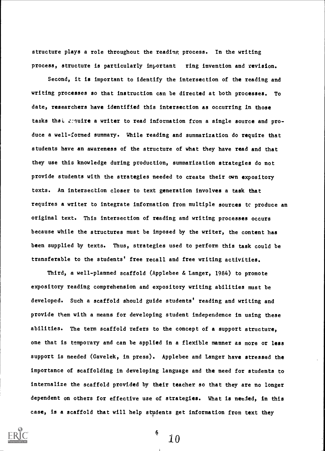structure plays a role throughout the reading process. In the writing process, structure is particularly important ring invention and revision.

Second, it is important to identify the intersection of the reading and writing processes so that instruction can be directed at both processes. To date, researchers have identified this intersection as occurring in those tasks that require a writer to read information from a single source and produce a well-formed summary. While reading and summarization do require that students have an awareness of the structure of what they have read and that they use this knowledge during production, summarization strategies do not provide students with the strategies needed to create their own expository texts. An intersection closer to text generation involves a task that requires a writer to integrate information from multiple sources tc produce an original text. This intersection of reading and writing processes occurs because while the structures must be imposed by the writer, the content has been supplied by texts. Thus, strategies used to perform this task could be transferable to the students' free recall and free writing activities.

Third, a well-planned scaffold (Applebee & Langer, 1984) to promote expository reading comprehension and expository writing abilities must be developed. Such a scaffold should guide students' reading and writing and provide them with a means for developing student independence in using these abilities. The term scaffold refers to the concept of a support structure, one that is temporary and can be applied in a flexible manner as more or less support is needed (Gavelek, in press). Applebee and Langer have stressed the importance of scaffolding in developing language and the need for students to internalize the scaffold provided by their teacher so that they are no longer dependent on others for effective use of strategies. What is needed, in this case, is a scaffold that will help students get information from text they

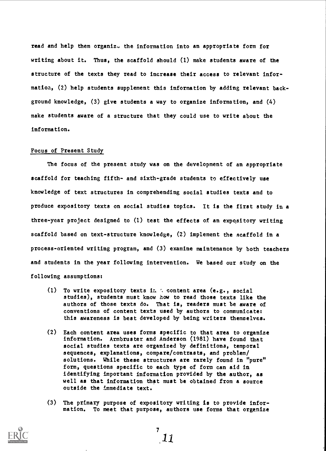read and help them organiz. the information into an appropriate form for writing about it. Thus, the scaffold should (1) make students aware of the structure of the texts they read to increase their access to relevant information, (2) help students supplement this information by adding relevant background knowledge, (3) give students a way to organize information, and (4) make students aware of a structure that they could use to write about the information.

#### Focus of Present Study

The focus of the present study was on the development of an appropriate scaffold for teaching fifth- and sixth-grade students to effectively use knowledge of text structures in comprehending social studies texts and to produce expository texts on social studies topics. It is the first study in a three-year project designed to (1) test the effects of an expository writing scaffold based on text-structure knowledge, (2) implement the scaffold in a process-oriented writing program, and (3) examine maintenance by both teachers and students in the year following intervention. We based our study on the following assumptions:

- (1) To write expository texts in  $\therefore$  content area (e.g., social studies), students must know how to read those texts like the authors of those texts do. That is, readers must be aware of conventions of content texts used by authors to communicate: this awareness is best developed by being writers themselves.
- (2) Each content area uses forms specific to that area to organize information. Armbruster and Anderson (1981) have found that social studies texts are organized by definitions, temporal sequences, explanations, compare/contrasts, and problem/ solutions. While these structures are rarely found in "pure" form, questions specific to each type of form can aid in identifying important information provided by the author, as well as that information that must be obtained from a source outside the immediate text.
- (3) The primary purpose of expository writing is to provide information. To meet that purpose, authors use forms that organize

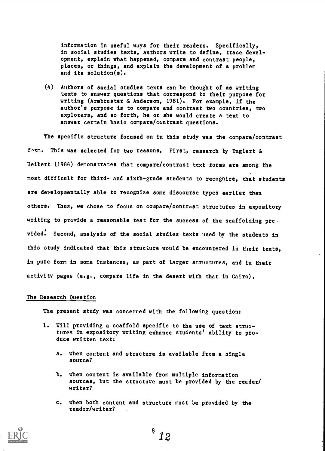information in useful ways for their readers. Specifically, in social studies texts, authors write to define, trace development, explain what happened, compare and contrast people, places, or things, and explain the development of a problem and its solution(s).

(4) Authors of social studies texts can be thought of as writing texts to answer questions that correspond to their purpose for writing (Armbruster & Anderson, 1981). For example, if the author's purpose is to compare and contrast two countries, two explorers, and so forth, he or she would create a text to answer certain basic compare/contrast questions.

The specific structure focused on in this study was the compare/contrast form. This was selected for two reasons. First, research by Englert & Heibert (1984) demonstrates that compare/contrast text forms are among the most difficult for third- and sixth-grade students to recognize, that students are developmentally able to recognize some discourse types earlier than others. Thus, we chose to focus on compare /contrast structures in expository writing to provide a reasonable test for the success of the scaffolding prc vided: Second, analysis of the social studies texts used by the students in this study indicated that this structure would be encountered in their texts, in pure form in some instances, as part of larger structures, and in their activity pages (e.g., compare life in the desert with that in Cairo).

### The Research Question

The present study was concerned with the following question:

- 1. Will providing a scaffold specific to the use of text structures in expository writing enhance students' ability to produce written text:
	- a. when content and structure is available from a single source?
	- b. when content is available from multiple information sources, but the structure must be provided by the reader/ writer?
	- c. when both content and structure must be provided by the reader/writer?

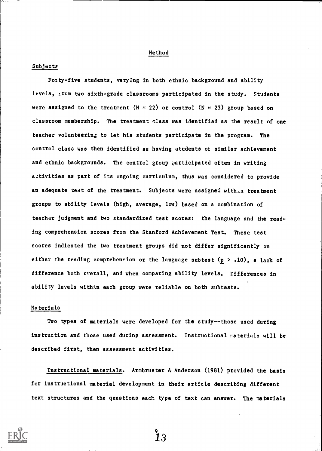### Method

### Subjects

Forty-five students, varying in both ethnic background and ability levels, trom two sixth-grade classrooms participated in the study. Students were assigned to the treatment (N = 22) or control (N = 23) group based on classroom membership. The treatment class was identified as the result of one teacher volunteering to let his students participate in the program. The control class was then identified as having students of similar achievement and ethnic backgrounds. The control group participated often in writing activities as part of its ongoing curriculum, thus was considered to provide an adequate test of the treatment. Subjects were assigned with.n treatment groups to ability levels (high, average, low) based on a combination of teacher judgment and two standardized test scores: the language and the reading comprehension scores from the Stanford Achievement Test. These test scores indicated the two treatment groups did not differ significantly on either the reading comprehension or the language subtest  $(p > .10)$ , a lack of difference both overall, and when comparing ability levels. Differences in ability levels within each group were reliable on both subtests.

### Materials

Two types of materials were developed for the study--those used during instruction and those used during assessment. Instructional materials will be described first, then assessment activities.

Instructional materials. Armbruster & Anderson (1981) provided the basis for instructional material development in their article describing different text structures and the questions each type of text can answer. The materials

 $\overset{\text{\tiny{9}}}{1}3$ 

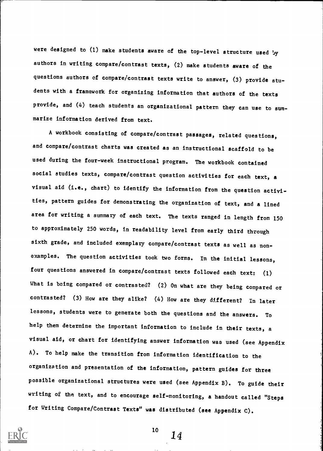were designed to (1) make students aware of the top-level structure used by authors in writing compare/contrast texts, (2) make students aware of the questions authors of compare/contrast texts write to answer, (3) provide students with a framework for organizing information that authors of the texts provide, and (4) teach students an organizational pattern they can use to summarize information derived from text.

A workbook consisting of compare/contrast passages, related questions, and compare/contrast charts was created as an instructional scaffold to be used during the four-week instructional program. The workbook contained social studies texts, compare/contrast question activities for each text, a visual aid (i.e., chart) to identify the information from the question activities, pattern guides for demonstrating the organization of text, and a lined area for writing a summary of each text. The texts ranged in length from 150 to approximately 250 words, in readability level from early third through sixth grade, and included exemplary compare/contrast texts as well as nonexamples. The question activities took two forms. In the initial lessons, four questions answered in compare/contrast texts followed each text: (1) What is being compared or contrasted? (2) On what are they being compared or contrasted? (3) How are they alike? (4) How are they different? In later lessons, students were to generate both the questions and the answers. To help them determine the important information to include in their texts, a visual aid, or chart for identifying answer information was used (see Appendix A). To help make the transition from information identification to the organization and presentation of the information, pattern guides for three possible organizational structures were used (see Appendix B). To guide their writing of the text, and to encourage self-monitoring, a handout called "Steps for Writing Compare/Contrast Texts" was distributed (see Appendix C).



10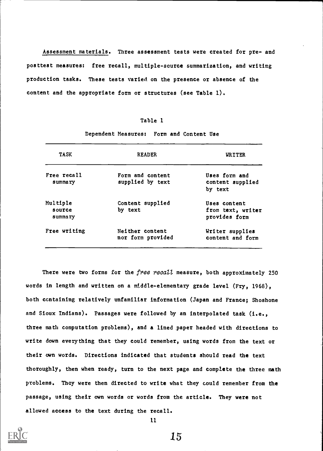Assessment materials. Three assessment tests were created for pre- and posttest measures: free recall, multiple-scurce summarization, and writing production tasks. These tests varied on the presence or absence of the content and the appropriate form or structures (see Table 1).

### Table 1

| <b>TASK</b>                   | <b>READER</b>                        | WRITER                                             |
|-------------------------------|--------------------------------------|----------------------------------------------------|
| Free recall<br>summary        | Form and content<br>supplied by text | Uses form and<br>content supplied<br>by text       |
| Multiple<br>source<br>summary | Content supplied<br>by text          | Uses content<br>from text, writer<br>provides form |
| Free writing                  | Neither content<br>nor form provided | Writer supplies<br>content and form                |

Dependent Measures: Form and Content Use

There were two forms for the free recall measure, both approximately 250 words in length and written on a middle-elementary grade level (Fry, 1968), both ccntaining relatively unfamiliar information (Japan and France; Shoshone and Sioux Indians). Passages were followed by an interpolated task (i.e., three math computation problems), and a lined ,paper headed with directions to write down everything that they could remember, using words from the text or their own words. Directions indicated that students should read the text thoroughly, then when ready, turn to the next page and complete the three math problems. They were then directed to write what they could remember from the passage, using their own words or words from the article. They were not allowed access to the text during the recall.

11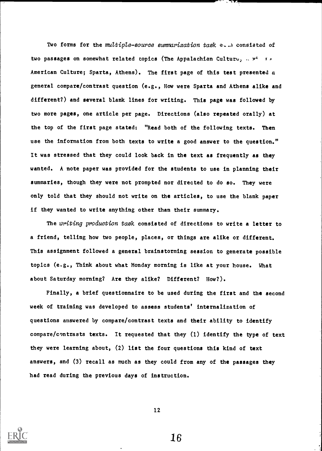Two forms for the multiple-source summarization task  $e_{n+1}$  consisted of two passages on somewhat related topics (The Appalachian Culture,  $x^4 + x^2$ American Culture; Sparta, Athens). The first page of this test presented a general compare/contrast question (e.g., How were Sparta and Athens alike and different?) and several blank lines for writing. This page was followed by two more pages, one article per page. Directions (also repeated orally) at the top of the first page stated: "Read both of the following texts. Then use the information from both texts to write a good answer to the question." It was stressed that they could look back in the text as frequently as they wanted. A note paper was provided for the students to use in planning their summaries, though they were not prompted nor directed to do so. They were only told that they should not write on the articles, to use the blank paper if they wanted to write anything other than their summary.

The writing production task consisted of directions to write a letter to a friend, telling how two people, places, or things are alike or different. This assignment followed a general brainstorming session to generate possible topics (e.g., Think about what Monday morning is like at your house. What about Saturday morning? Are they alike? Different? How?).

Finally, a brief questionnaire to be used during the first and the second week of training was developed to assess students' internalization of questions answered by compare/contrast texts and their ability to identify compare/contrasts texts. It requested that they (1) identify the type of text they were learning about, (2) list the four questions this kind of text answers, and (3) recall as much as they could from any of the passages they had read during the previous days of instruction.



12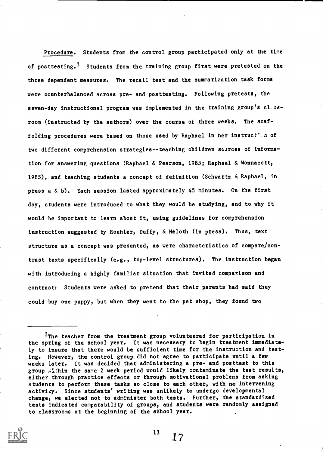Procedure. Students from the control group participated only at the time of posttesting.<sup>3</sup> Students from the training group first were pretested on the three dependent measures. The recall test and the summarization task forms were counterbalanced across pre- and posttesting. Following pretests, the seven-day instructional program was implemented in the training group's cl.ssroom (instructed by the authors) over the course of three weeks. The scaffolding procedures were based on those used by Raphael in her instruct'.a of two different comprehension strategies--teaching children sources of information for answering questions (Raphael & Pearson, 1985; Raphael & Wonnacott, 1985), and teaching students a concept of definition (Schwartz & Raphael, in press a & b). Each session lasted approximately 45 minutes. On the first day, students were introduced to what they would be studying, and to why it would be important to learn about it, using guidelines for comprehension instruction suggested by Roehler, Duffy, & Meloth (in press). Thus, text structure as a concept was presented, as were characteristics of compare/contrast texts specifically (e.g., top-level structures). The instruction began with introducing a highly familiar situation that invited comparison and contrast: Students were asked to pretend that their parents had said they could buy one puppy, but when they went to the pet shop, they found two

 $3$ The teacher from the treatment group volunteered for participation in the spring of the school year. It was necessary to begin treatment immediately to insure that there would be sufficient time for the instruction and testing. However, the control group did not agree to participate until a few weeks later. It was decided that administering a pre- and posttest to this group  $\frac{1}{2}$ thin the same 2 week period would likely contaminate the test results, either through practice effects or through motivational problems from asking students to perform these tasks so close to each other, with no intervening activity. Since students' writing was unlikely to undergo developmental change, we elected not to administer both tests. Further, the standardized tests indicated comparability of groups, and students were randomly assigned to classrooms at the beginning of the school year.

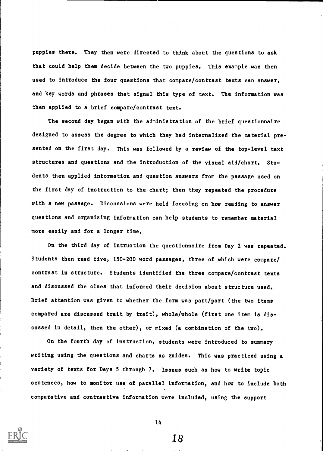puppies there. They then were directed to think about the questions to ask that could help them decide between the two puppies. This example was then used to introduce the four questions that compare/contrast texts can answer, and key words and phrases that signal this type of text. The information was then applied to a brief compare/contrast text.

The second day began with the administration of the brief questionnaire designed to assess the degree to which they had internalized the material presented on the first day. This was followed by a review of the top-level text structures and questions and the introduction of the visual aid/chart. Students then applied information and question answers from the passage used on the first day of instruction to the chart; then they repeated the procedure with a new passage. Discussions were held focusing on how reading to answer questions and organizing information can help students to remember material more easily and for a longer time.

On the third day of intruction the questionnaire from Day 2 was repeated. Students then read five, 150-200 word passages, three of which were compare/ contrast in structure. Students identified the three compare/contrast texts and discussed the clues that informed their decision about structure used. Brief attention was given to whether the form was part/part (the two items compared are discussed trait by trait), whole/whole (first one item is discussed in detail, then the other), or mixed (a combination of the two).

On the fourth day of instruction, students were introduced to summary writing using the questions and charts as guides. This was practiced using a variety of texts for Days 5 through 7. Issues such as how to write topic sentences, how to monitor use of parallel information, and how to include both comparative and contrastive information were included, using the support



14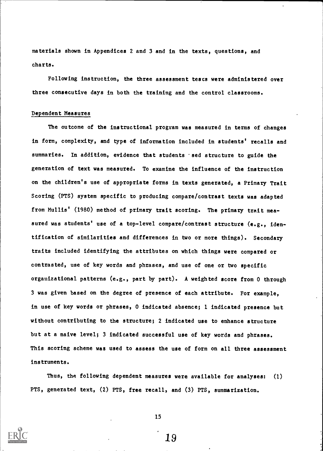materials shown in Appendices 2 and 3 and in the texts, questions, and charts.

Following instruction, the three assessment tests were administered over three consecutive days in both the training and the control classrooms.

### Dependent Measures

The outcome of the instructional program was measured in terms of changes in form, complexity, and type of information included in students' recalls and summaries. In addition, evidence that students 'sed structure to guide the generation of text was measured. To examine the influence of the instruction on the children's use of appropriate forms in texts generated, a Primary Trait Scoring (PTS) system specific to producing compare/contrast texts was adapted from Mullis' (1980) method of primary trait scoring. The primary trait measured was students' use of a top-level compare/contrast structure (e.g., identification of similarities and differences in two or more things). Secondary traits included identifying the attributes on which things were compared or contrasted, use of key words and phrases, and use of one or two specific organizational patterns (e.g., part by part). A weighted score from 0 through 3 was given based on the degree of presence of each attribute. For example, in use of key words or phrases, 0 indicated absence; 1 indicated presence but without contributing to the structure; 2 indicated use to enhance structure but at a naive level; 3 indicated successful use of key words and phrases. This scoring scheme was used to assess the use of form on all three assessment instruments.

Thus, the following dependent measures were available for analyses: (1) PTS, generated text, (2) PTS, free recall, and (3) PTS, summarization.



15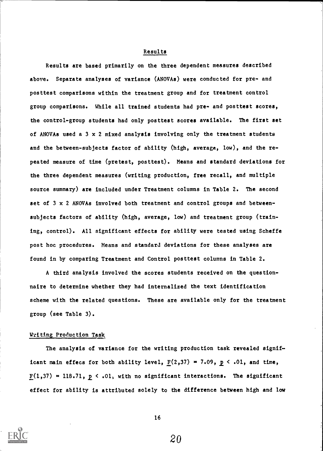### Results

Results are based primarily on the three dependent measures described above. Separate analyses of variance (ANOVAs) were conducted for pre- and posttest comparisons within the treatment group and for treatment control group comparisons. While all trained students had pre- and posttest scores, the control-group students had only posttest scores available. The first set of ANOVAs used a  $3 \times 2$  mixed analysis involving only the treatment students and the between-subjects factor of ability (high, average, low), and the repeated measure of time (pretest, posttest). Means and standard deviations for the three dependent measures (writing production, free recall, and multiple source summary) are included under Treatment columns in Table 2. The second set of 3 x 2 ANOVAs involved both treatment and control groups and betweensubjects factors of ability (high, average, low) and treatment group (training, control). All significant effects for ability were tested using Scheffe post hoc procedures. Means and standard deviations for these analyses are found in by comparing Treatment and Control posttest columns in Table 2.

A third analysis involved the scores students received on the questionnaire to determine whether they had internalized the text identification scheme with the related questions. These are available only for the treatment group (see Table 3).

### Writing Production Task

The analysis of variance for the writing production task revealed significant main effecs for both ability level,  $F(2,37) = 7.09$ ,  $p < .01$ , and time,  $\underline{F}(1,37) = 118.71$ ,  $\underline{p} < .01$ , with no significant interactions. The significant effect for ability is attributed solely to the difference between high and low



16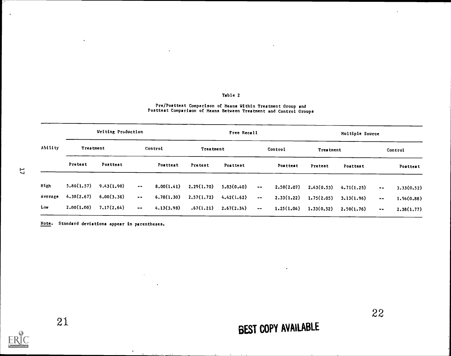### Table 2

 $\bar{\mathcal{A}}$ 

#### Pre/Posttest Comparison of Means Within Treatment Group and Posttest Comparison of Means Between Treatment and Control Groups

|             |                  | Writing Production |                     |            |            | Free Recall |                                  |            |                  | <b>Hultiple Source</b> |                  |            |
|-------------|------------------|--------------------|---------------------|------------|------------|-------------|----------------------------------|------------|------------------|------------------------|------------------|------------|
| Ability     | <b>Treatment</b> |                    |                     | Control    | Treatment  |             |                                  | Control    | <b>Trestment</b> |                        |                  | Control    |
|             | Pretest          | Posttest           |                     | Posttest   | Pretest    | Posttest    |                                  | Posttest   | Pretest          | Posttest               |                  | Posttest   |
| <b>High</b> | 5.86(1.57)       | 9.43(1.90)         | $\cdots$            | 8.00(1.41) | 2.29(1.70) | 5,83(0,40)  | $\bullet$ $\bullet$              | 2,50(2,07) | 2,43(0.53)       | 4.71(1.25)             | $\bullet\bullet$ | 3.33(0.52) |
| Average     | 4.38(2.67)       | 6.00(3.36)         | $\bullet$ $\bullet$ | 6.78(1.30) | 2,57(1,72) | 4.42(1.62)  | $\blacksquare$<br>$\blacksquare$ | 2.33(1.22) | 1.75(2.05)       | 3.13(1.96)             | $\sim$ $\sim$    | 1.56(0.88) |
| Low         | 2.00(1.00)       | 7.17(2.64)         | $\sim$ $\sim$       | 4.13(3.98) | .67(1.21)  | 2.67(2.34)  | $\bullet$ $\bullet$              | 1.25(1.04) | 1.33(0.52)       | 2.50(1.76)             | $\sim$ $\sim$    | 2,38(1,77) |

Note. Standard deviations appear in parentheses.

 $\bullet$ 

H

÷.

21

# BEST COPY AVAILABLE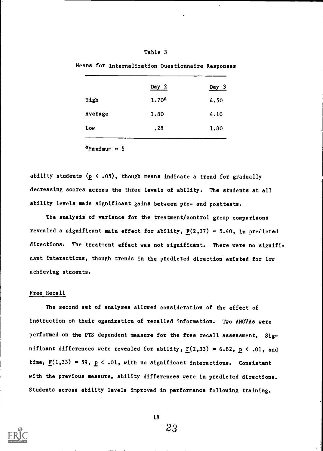### Table 3

|         | Day 2             | Day 3 |
|---------|-------------------|-------|
| High    | 1.70 <sup>a</sup> | 4.50  |
| Average | 1.80              | 4.10  |
| Low     | .28               | 1.80  |
|         |                   |       |

Means for Internalization Questionnaire Responses

 $a$ Maximum =  $5$ 

ability students  $(p \le .05)$ , though means indicate a trend for gradually decreasing scores across the three levels of ability. The students at all ability levels made significant gains between pre- and posttests.

The analysis of variance for the treatment/control group comparisons revealed a significant main effect for ability,  $F(2,37) = 5.40$ , in predicted directions. The treatment effect was not significant. There were no significant interactions, though trends in the predicted direction existed for low achieving students.

### Free Recall

The second set of analyses allowed consideration of the effect of instruction on their oganization of recalled information. Two ANOVAa were performed on the PTS dependent measure for the free recall assessment. Significant differences were revealed for ability,  $\underline{F}(2,33) = 6.82$ ,  $\underline{p} < .01$ , and time,  $\underline{F}(1,33) = 59$ ,  $\underline{p} < .01$ , with no significant interactions. Consistent with the previous measure, ability differences were in predicted directions. Students across ability levels improved in performance following training.



18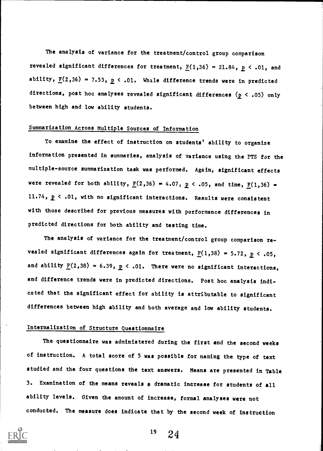The analysis of variance for the treatment/control group comparison revealed significant differences for treatment,  $F(1,36) = 21.84$ ,  $p < .01$ , and ability,  $\underline{F}(2,36) = 7.53$ ,  $\underline{p} < .01$ . While difference trends were in predicted directions, post hoc analyses revealed significant differences  $(p < .05)$  only between high and low ability students.

### Summarization Across Multiple Sources of Information

To examine the effect of instruction on students' ability to organize information presented in summaries, analysis of variance using the PTS for the multiple-source summarization task was performed. Again, significant effects were revealed for both ability,  $\underline{F}(2,36) = 4.07$ ,  $\underline{P} \leftarrow .05$ , and time,  $\underline{F}(1,36) =$ 11.74,  $p \leq .01$ , with no significant interactions. Results were consistent with those described for previous measures with performance differences in predicted directions for both ability and testing time.

The analysis of variance for the treatment/control group comparison revealed significant differences again for treatment,  $F(1,38) = 5.72$ ,  $p < .05$ , and ability  $\underline{F}(2,38) = 6.39$ ,  $\underline{p} < .01$ . There were no significant interactions, and difference trends were in predicted directions. Post hoc analysis indicated that the significant effect for ability is attributable to significant differences between high ability and both average and low ability students.

### Internalization of Structure Questionnaire

The questionnaire was administered during the first and the second weeks of instruction. A total score of 5 was possible for naming the type of text studied and the four questions the text answers. Means are presented in Table 3. Examination of the means reveals a dramatic increase for students of all ability levels. Given the amount of increase, formal analyses were not conducted. The measure does indicate that by the second week of instruction

 $19 \t24$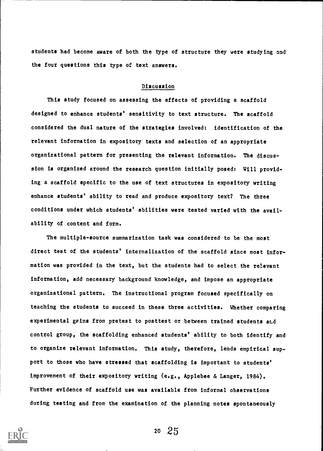students had become aware of both the type of structure they were studying and the four questions this type of text answers.

### Discussion

This study focused on assessing the effects of providing a scaffold designed to enhance students' sensitivity to text structure. The scaffold considered the dual nature of the strategies involved: identification of the relevant information in expository texts and selection of an appropriate organizational pattern for presenting the relevant information. The discussion is organized around the research question initially posed: Will providing a scaffold specific to the use of text structures in expository writing enhance students' ability to read and produce expository text? The three conditions under which students' abilities were tested varied with the availability of content and form.

The multiple-source summarization task was considered to be the most direct test of the students' internalization of the scaffold since most information was provided in the text, but the students had to select the relevant information, add necessary background knowledge, and impose an appropriate organizational pattern. The instructional program focused specifically on teaching the students to succeed in these three activities. Whether comparing experimental geins from pretest to posttest or between trained students and control group, the scaffolding enhanced students' ability to both identify and to organize relevant information. This study, therefore, lends empirical support to those who have stressed that scaffolding is important to students' improvement of their expository writing (e.g., Applebee & Langer, 1984). Further evidence of scaffold use was available from informal observations during testing and from the examination of the planning notes spontaneously

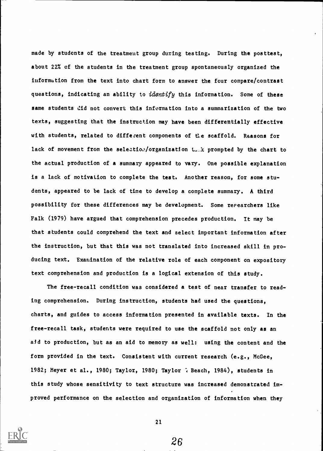made by students of the treatment group during testing. During the posttest, about 22% of the students in the treatment group spontaneously organized the information from the text into chart form to answer the four compare/contrast questions, indicating an ability to *identify* this information. Some of these same students did not convert this information into a summarization of the two texts, suggesting that the instruction may have been differentially effective with students, related to different components of the scaffold. Reasons for lack of movement from the selection/organization that prompted by the chart to the actual production of a summary appeared to vary. One possible explanation is a lack of motivation to complete the test. Another reason, for some students, appeared to be lack of time to develop a complete summary. A third possibility for these differences may be development. Some researchers like Falk (1979) have argued that comprehension precedes production. It may be that students could comprehend the text and select important information after the instruction, but that this was not translated into increased skill in producing text. Examination of the relative role of each component on expository text comprehension and production is a logical extension of this study.

The free-recall condition was considered a test of near transfer to reading comprehension. During instruction, students had used the questions, charts, and guides to access information presented in available texts. In the free-recall task, students were required to use the scaffold not only as an aid to production, but as an aid to memory as well: using the content and the form provided in the text. Consistent with current research (e.g., McGee, 1982; Meyer et al., 1980; Taylor, 1980; Taylor  $\lambda$  Beach, 1984), students in this study whose sensitivity to text structure was increased demonstrated improved performance on the selection and organization of information when they



21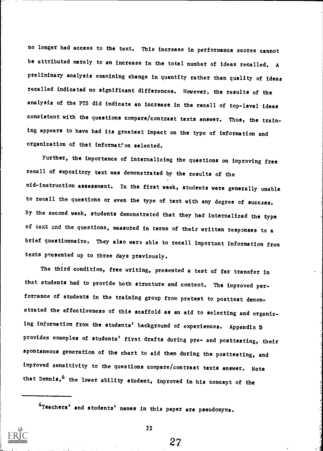no longer had access to the text. This increase in performance scores cannot be attributed merely to an increase in the total number of ideas recalled. <sup>A</sup> preliminary analysis examining change in quantity rather than quality of ideas recalled indicated no significant differences. However; the results of the analysis of the PTS did indicate an increase in the recall of top-level ideas consistent with the questions compare/contrast texts answer. Thus, the training appears to have had its greatest impact on the type of information and organization of that information selected.

Further, the importance of internalizing the questions on improving free recall of expository text was demonstrated by the results of the mid-instruction assessment. In the first week, students were generally unable to recall the questions or even the type of text with any degree of success. By the second week, students demonstrated that they had internalized the type of text and the questions, measured in terms of their written responses to a brief questionnaire. They also were able to recall important information from texts presented up to three days previously.

The third condition, free writing, presented a test of far transfer in that students had to provide both structure and content. The improved performance of students in the training group from pretest to posttest demonstrated the effectiveness of this scaffold as an aid to selecting and organizing information from the students' background of experiences. Appendix D provides examples of students' first drafts during pre- and posttesting, their spontaneous generation of the chart to aid them during the posttesting, and improved sensitivity to the questions compare/contrast texts answer. Note that Dennis,  $4$  the lower ability student, improved in his concept of the

4Teachers' and students' names in this paper are pseudonyms.



22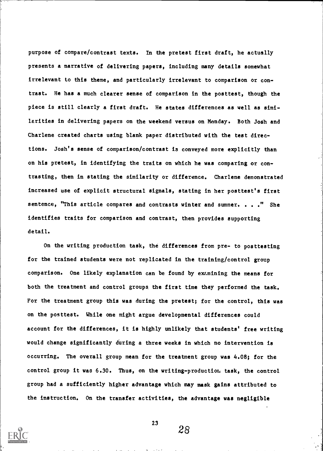purpose of compare/contrast texts. In the pretest first draft, he actually presents a narrative of delivering papers, including many details somewhat irrelevant to this theme, and particularly irrelevant to comparison or contrast. He has a much clearer sense of comparison in the posttest, though the piece is still clearly a first draft. He states differences as well as similarities in delivering papers on the weekend versus on Monday. Both Josh and Charlene created charts using blank paper distributed with the test directions. Josh's sense of comparison/contrast is conveyed more explicitly than on his pretest, in identifying the traits on which he was comparing or contrasting, then in stating the similarity or difference. Charlene demonstrated increased use of explicit structural signals, stating in her posttest's first sentence, "This article compares and contrasts winter and summer. . . ." She identifies traits for comparison and contrast, then provides supporting detail.

On the writing production task, the differences from pre- to posttesting for the trained students were not replicated in the training/control group comparison. One likely explanation can be found by ex/mining the means for both the treatment and control groups, the first time they performed the task. For the treatment group this was during the pretest; for the control, this was on the posttest. While one might argue developmental differences could account for the differences, it is highly unlikely that students' free writing would change significantly during a three weeks in which no intervention is occurring. The overall group mean for the treatment group was 4.08; for the control group it was 6.30. Thus, on the writing-production task, the control group had a sufficiently higher advantage which may mask gains attributed to the instruction. On the transfer activities, the advantage was negligible



23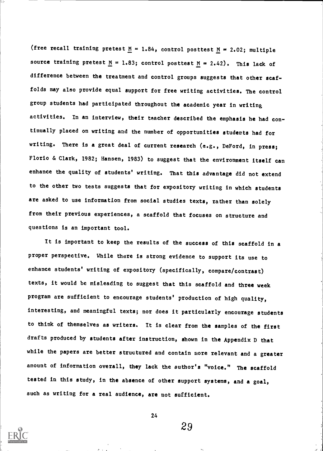(free recall training pretest  $M = 1.84$ , control posttest  $M = 2.02$ ; multiple source training pretest  $\underline{M} = 1.83$ ; control posttest  $\underline{M} = 2.42$ ). This lack of difference between the treatment and control groups suggests that other scaffolds may also provide equal support for free writing activities. The control group students had participated throughout the academic year in writing activities. In an interview, their teacher described the emphasis he had continually placed on writing and the number of opportunities students had for writing. There is a great deal of current research (e.g., DeFord, in press; Florio & Clark, 1982; Hansen, 1983) to suggest that the environment itself can enhance the quality of students' writing. That this advantage did not extend to the other two tests suggests that for expository writing in which students are asked to use information from social studies texts, rather than solely from their previous experiences, a scaffold that focuses on structure and questions is an important tool.

It is important to keep the results of the success of this scaffold in a proper perspective. While there is strong evidence to support its use to enhance students' writing of expository (specifically, compare/contrast) texts, it would be misleading to suggest that this scaffold and three week program are sufficient to encourage students' production of high quality, interesting, and meaningful texts; nor does it particularly encourage students to think of themselves as writers. It is clear from the samples of the first drafts produced by students after instruction, shown in the Appendix D that while the papers are better structured and contain more relevant and a greater amount of information overall, they lack the author's "voice." The scaffold tested in this study, in the absence of other support systems, and a goal, such as writing for a real audience, are not sufficient.



24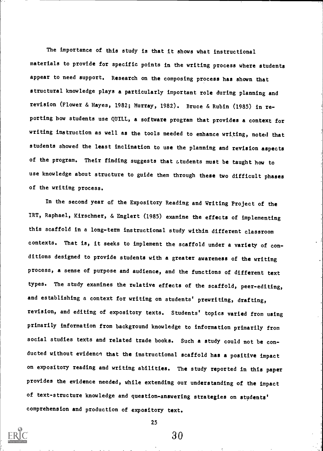The importance of this study is that it shows what instructional materials to provide for specific points in the writing process where students appear to need support. Research on the composing process has shown that structural knowledge plays a particularly important role during planning and revision (Flower & Hayes, 1982; Murray, 1982). Bruce & Rubin (1985) in reporting how students use QUILL, a software program that provides a context for writing instruction as well as the tools needed to enhance writing, noted that students showed the least inclination to use the planning and revision aspects of the program. Their finding suggests that atudents must be taught how to use knowledge about structure to guide them through these two difficult phases of the writing process.

In the second year of the Expository Reading and Writing Project of the IRT, Raphael, Kirschner, & Englert (1985) examine the effects of implementing this scaffold in a long-term instructional study within different classroom contexts. That is, it seeks to implement the scaffold under a variety of conditions designed to provide students with a greater awareness of the writing process, a sense of purpose and audience, and the functions of different text types. The study examines the relative effects of the scaffold, peer-editing, and establishing a context for writing on students' prewriting, drafting, revision, and editing of expository texts. Students' topics varied from using primarily information from background knowledge to information primarily from social studies texts and related trade books. Such a study could not be conducted without evidence that the instructional scaffold has a positive impact on expository reading and writing abilities. The study reported in this paper provides the evidence needed, while extending our understanding of the impact of text-structure knowledge and question-answering strategies on students' comprehension and production of expository text.



25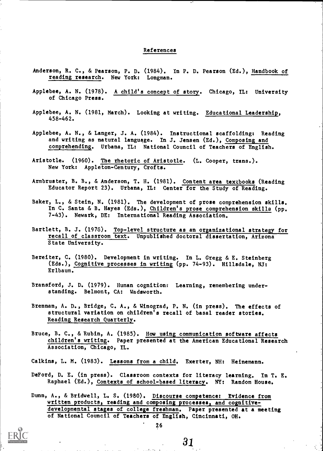### References

- Anderson, R. C., & Pearson, P. D. (1984). In P. D. Pearson (Ed.), Handbook of reading research. New York: Longman.
- Applebee, A. N. (1978). A child's concept of story. Chicago, IL: University of Chicago Press.
- Applebee, A. N. (1981, March). Looking at writing. Educational Leadership, 458-462.
- Applebee, A. N., & Langer, J. A. (1984). Instructional scaffolding: Reading and writing as natural language. In J. Jensen (Ed.), Composing and comprehending. Urbana, IL: National Council of Teachers of English.
- Aristotle. (1960). The rhetoric of Aristotle. (L. Cooper, trans.). New York: Appleton-Century, Crofts.
- Armbruster, B. B., & Anderson, T. H. (1981). Content area textbooks (Reading Educator Report 23). Urbana, IL: Center for the Study of Reading.
- Baker, L., & Stein, N. (1981). The development of prose comprehension skills. In C. Santa & B. Hayes (Eds.), Children's prose comprehension skills (pp. 7-43). Newark, DE: International Reading Association.
- Bartlett, B. J. (1978). Top-level structure as an organizational strategy for recall of classroom text. Unpublished doctoral dissertation, Arizona State University.
- Bereiter, C. (1980). Development in writing. In L. Gregg & E. Steinberg (Eds.), Cognitive processes in writing (pp. 74-93). Hillsdale, NJ: Erlbaum.
- Bransford, J. D. (1979). Human cognition; Learning, remembering understanding. Belmont, CA: Wadsworth.
- Brennan, A. D., Bridge, C. A., & Winograd, P. N. (in press). The effects of structural variation on children's recall of basal reader stories. Reading Research Quarterly.
- Bruce, B. C., & Rubin, A. (1985). How using communication software affects children's writing. Paper presented at the American Educational Research Association, Chicago, IL.
- Calkins, L. M. (1983). Lessons from a child. Exerter, NH: Heinemann.
- DeFord, D. E. (in press). Classroom contexts for literacy learning. In T. E. Raphael (Ed.), Contexts of school-based literacy. NY: Random House.

Dunn, A., & Bridwell, L. S. (1980). Discourse competence: Evidence from written products, reading and composing processes, and cognitivedevelopmental stages of college freshman. Paper presented at a meeting of National Council of Teachers of English, Cincinnati, OH.

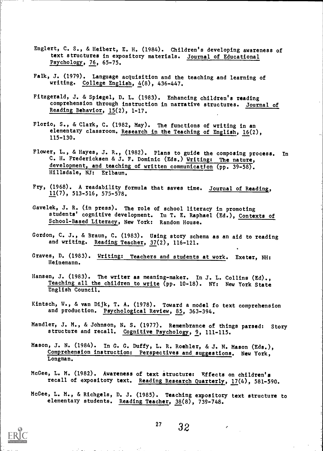- Englert, C. S., & Heibert, E. H. (1984). Children's developing awareness of text structures in expository materials. Journal of Educational Psychology, 76, 65-75.
- Falk, J. (1979). Language acquisition and the teaching and learning of writing. College English, 4(8), 436-447.
- Fitzgerald, J. & Spiegel, D. L. (1983). Enhancing children's reading comprehension through instruction in narrative structures. Journal of Reading Behavior, 15(2), 1-17.
- Florio, S., & Clark, C. (1982, May). The functions of writing in an elementary classroom. Research in the Teaching of English, 16(2), 115-130.
- Flower, L., & Hayes, J. R., (1982). Plans to guide the composing process. In C. H. Fredericksen & J. F. Dominic (Eds.) Writing: The nature, development, and teaching of written communication (pp. 39-58). Hillsdale, NJ: Erlbaum.
- Fry, (1968). A readability formula that saves time. Journal of Reading, 11(7), 513-516, 575-578.
- Gavelek, J. R. (in press). The role of school literacy in promoting students' cognitive development. In T. E. Raphael (Ed.), Contexts of School-Based Literacy, New York: Random House.
- Gordon, C. J., & Braun, C. (1983). Using story schema as an aid to reading and writing. Reading Teacher, 37(2), 116-121.
- Graves, D. (1983). Writing: Teachers and students at work. Exeter, NH: Heinemann.
- Hansen, J. (1983). The writer as meaning-maker. In J. L. Collins (Ed)., Teaching all the children to write (pp. 10-18). NY: New York State English Council.
- Kintsch, W., & van Dijk, T. A. (1978). Toward a model fo text comprehension and production. Psychological Review, 85, 363-394.
- Handler, J. M., & Johnson, N. S. (1977). Remembrance of things parsed: Story structure and recall. Cognitive Psychology, 9, 111-115.
- Mason, J. N. (1984). In G. G. Duffy, L. R. Roehler, & J. N. Mason (Eds.), Comprehension instruction: Perspectives and suggestions. New York, Longman.
- McGee, L. M. (1982). Awareness of text structure: Effects on children's recall of expository text. Reading Research Quarterly, 17(4), 581-590.
- McGee, L. M., & Richgels, D. J. (1985). Teaching expository text structure to elementary students. Reading Teacher, 38(8), 739-748.



 $27 \quad 32$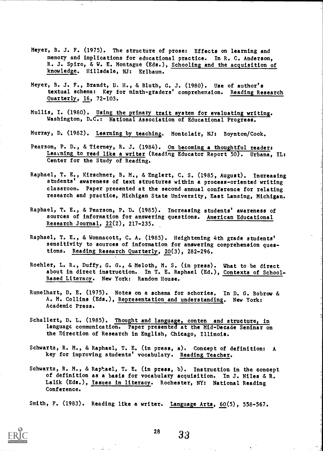- Meyer, B. J. E. (1975). The structure of prose: Effects on learning and memory and implications for educational practice. In R. C. Anderson, R. J. Spiro, & W. E. Montague (Eds.), Schooling and the acquisition of knowledge. Hillsdale, NJ: Erlbaum.
- Meyer, B. J. F., Brandt, D, H., & Bluth, G. J. (1980). Use of author's textual schema: Key for ninth-graders' comprehension. Reading Research Quarterly, 16, 72-103.
- Mullis, I. (1980). Using the primary trait system for evaluating writing. Washington, D.C.: National Association of Educational Progress.
- Murray, D. (1982). Learning by teaching. Montclair, NJ: Boynton/Cook.
- Pearson, P. D., & Tierney, R. J. (1984). On becoming a thoughtful reader: Learning to read like a writer (Reading Educator Report 50). Urbana, IL: Center for the Study of Reading.
- Raphael, T. E., Kirschner, B. M., & Englert, C. S. (1985, August). Increasing students' awareness of text structures within a process-oriented writing classroom. Paper presented at the second annual conference for relating research and practice, Michigan State University, East Lansing, Michigan.
- Raphael, T. E., & Pearson, P. D. (1985). Increasing students' awareness of sources of information for answering questions. American Educational Research Journal, 22(2), 217-235.
- Raphael, T. E., & Wonnacott, C. A. (1985). Heightening 4th grade students' sensitivity to sources of information for answering comprehension questions. Reading Research Quarterly, 20(3), 282-296.
- Roehler, L. R., Duffy, G. G., & Meloth, M. S. (in press). What to be direct about in direct instruction. In T. E. Raphael (Ed.), Contexts of School-Based Literacy. New York: Random House.
- Rumelhart, D. E. (1975). Notes on a schema for schories. In D. G. Bobrow & A. M. Collins (Eds.), Representation and understanding. New York: Academic Press.
- Schallert, D. L. (1985). Thought and language, conten and structure, in language communication. Paper presented at the Mid-Decade Seminar on the Direction of Research in English, Chicago, Illinois.
- Schwartz, R. M., & Raphael, T. E. (in press, a). Concept of definition: A key for improving students' vocabulary. Reading Teacher.
- Schwartz, R. M., & Raphael, T. E. (in press, b). Instruction in the concept of definition as a basis for vocabulary acquisition. In J. Niles & R. Lalik (Eds.), <u>Issues in literacy</u>. Rochester, NY: National Reading Conference.

Smith, F. (1983). Reading like a writer. Language Arts, 60(5), 558-567.



 $28 \t 33$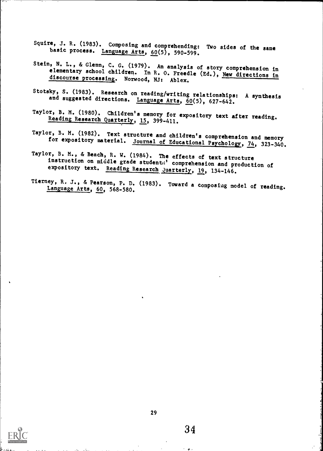- Squire, J. R. (1983). Composing and comprehending: Two sides of the same basic process. Language Arts, 60(5), 590-599.
- Stein, N. L., & Glenn, C. G. (1979). An analysis of story comprehension in elementary school children. In R. O. Freedle (Ed.), New directions in discourse processing. Norwood, NJ: Ablex.
- Stotsky, S. (1983). Research on reading/writing relationships: A synthesis<br>and suggested directions. Language Arts, 60(5), 627-642.
- Taylor, B. M. (1980). Children's memory for expository text after reading.<br>Reading Research Quarterly, 15, 399-411.
- Taylor, B. M. (1982). Text structure and children's comprehension and memory for expository material. Journal of Educational Psychology, 74, 323-340.
- Taylor, B. M., & Beach, R. W. (1984). The effects of text structure<br>instruction on middle grade studenta' comprehension and production of<br>expository text. Reading Research Quarterly, 19, 134-146.
- Tierney, R, J., & Pearson, P. D. (1983). Toward a composing model of reading. Language Arts, 60, 568-580.

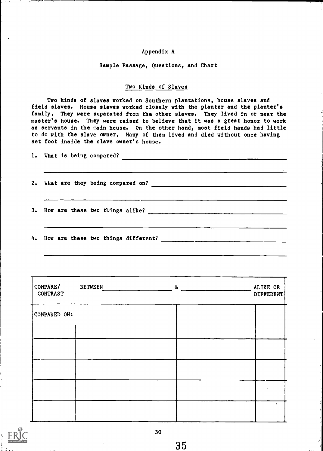### Appendix A

### Sample Passage, Questions, and Chart

### Two Kinds of Slaves

Two kinds of slaves worked on Southern plantations, house slaves and field slaves. House slaves worked closely with the planter and the planter's family. They were separated from the other slaves. They lived in or near the master's house. They were raised to believe that it was a great honor to work as servants in the main house. On the other hand, most field hands had little to do with the slave owner. Many of them lived and died without once having set foot inside the slave owner's house.

|  | 2. What are they being compared on?                                                                                                                                                                                                                                                                        |
|--|------------------------------------------------------------------------------------------------------------------------------------------------------------------------------------------------------------------------------------------------------------------------------------------------------------|
|  | 3. How are these two things alike? $\frac{1}{2}$ $\frac{1}{2}$ $\frac{1}{2}$ $\frac{1}{2}$ $\frac{1}{2}$ $\frac{1}{2}$ $\frac{1}{2}$ $\frac{1}{2}$ $\frac{1}{2}$ $\frac{1}{2}$ $\frac{1}{2}$ $\frac{1}{2}$ $\frac{1}{2}$ $\frac{1}{2}$ $\frac{1}{2}$ $\frac{1}{2}$ $\frac{1}{2}$ $\frac{1}{2}$ $\frac{1}{$ |
|  | 4. How are these two things different?                                                                                                                                                                                                                                                                     |

| COMPARE/<br><b>CONTRAST</b> | <b>BETWEEN</b> | $\delta$ | ALIKE OR<br>DIFFERENT |
|-----------------------------|----------------|----------|-----------------------|
| COMPARED ON:                |                |          |                       |
|                             |                |          |                       |
|                             |                |          |                       |
|                             |                |          |                       |
|                             |                |          | ٠                     |

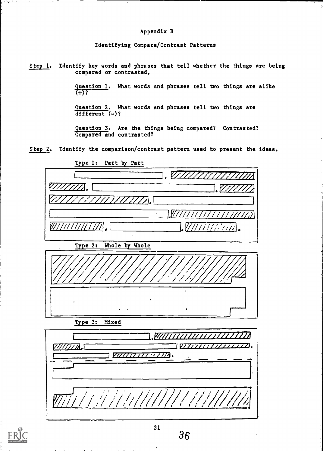### Appendix B

Identifying Compare/Contrast Patterns

Step 1. Identify key words and phrases that tell whether the things are being compared or contrasted.

> Question 1. What words and phrases tell two things are alike  $(+)$ ?

Question 2. What words and phrases tell two things are  $\overline{\text{different}}(-)$ ?

Question 3. Are the things being compared? Contrasted? Compared and contrasted?

Step 2. Identify the comparison/contrast pattern used to present the ideas.





55 F F F

36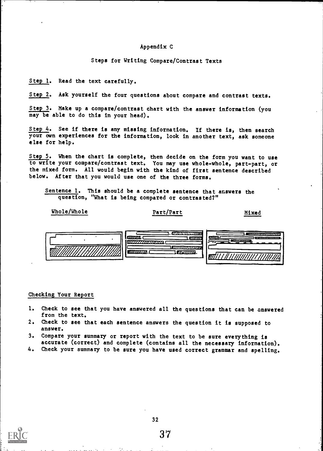### Appendix C

Steps for Writing Compare/Contrast Texts

Step 1. Read the text carefully.

Step 2. Ask yourself the four questions about compare and contrast texts.

Step 3. Make up a compare/contrast chart with the answer information (you may be able to do this in your head).

Step 4. See if there is any missing information. If there is, then search your own experiences for the information, look in another text, ask someone else for help.

Step 5. When the chart is complete, then decide on the form you want to use to write your compare/contrast text. You may use whole-whole, part-part, or the mixed form. All would begin with the kind of first sentence described below. After that you would use one of the three forms.

Sentence 1. This should be a complete sentence that answers the question, "What is being compared or contrasted?"

### Whole/Whole Part/Part

Mixed



### Checking Your Report

- 1. Check to see that you have answered all the questions that can be answered from the text.
- 2. Check to see that each sentence answers the question it is supposed to answer.
- 3. Compare your summary or report with the text to be sure everything is accurate (correct) and complete (contains all the necessary information).
- 4. Check your summary to be sure you have used correct grammar and spelling.

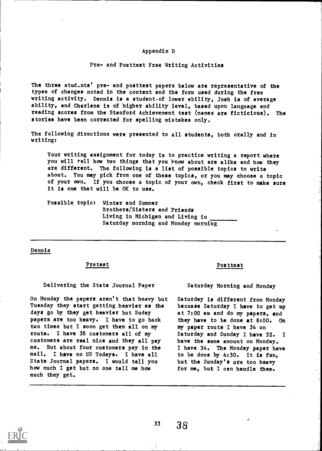### Appendix D

### Pre- and Posttest Free Writing Activities

The three students' pre- and posttest papers below are representative of the types of changes noted in the content and the form used during the free writing activity. Dennis is a student-of lower ability, Josh is of average ability, and Charlene is of higher ability level, based upon language and reading scores from the Stanford Achievement test (names are ficticious). The stories have been corrected for spelling mistakes only.

The following directions were presented to all students, both orally and in writing:

Your writing assignment for today is to practice writing a report where you will tell how two things that you know about are alike and how they are different. The following is a list of possible topics to write about. You may pick from one of these topics, or you may choose a topic of your own. If you choose a topic of your own, check first to make sure it is one that will be OK to use.

Possible topics Winter and Summer Brothers/Sisters and Friends Living in Michigan and Living in Saturday morning and Monday morning

### Dennis

#### Pretest

Delivering the State Journal Paper

On Monday the papers aren't that heavy but Tuesday they start getting heavier as the days go by they get heavier but Suday papers are too heavy. I have to go back two times but I soon get them all on my route. I have 38 customers all of my customers are real nice and they all pay me. But about four customers pay in the mail. I have no US Todays. I have all State Journal papers. I would tell you how much I get but no one tell me how much they get.

#### Posttest

Saturday Morning and Monday

Saturday is different from Monday becuase Saturday I have to get up at 7:00 am and do my papers, and they have to be done at 8:00. On my paper route I have 34 on Saturday and Sunday I have 32. I have the same amount on Monday. I have 34. The Monday paper have to be done by 4:30. It is fun, but the Sunday's are too heavy for me, but I can handle them.

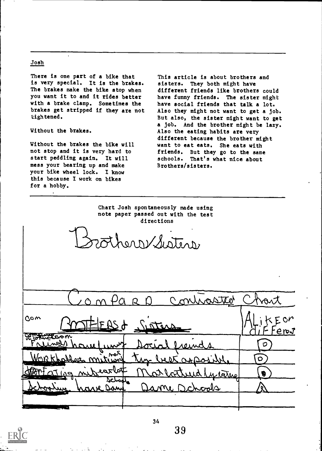### Josh

There is one part of a bike that is very special. It is the brakes. The brakes make the bike stop when you want it to and it rides better with a brake clamp. Sometimes the brakes get stripped if they are not tightened.

Without the brakes.

Without the brakes the bike will not stop and it is very hard to start peddling again. It will mess your bearing up and make your bike wheel lock. I know this because I work on bikes for a hobby.

This article is about brothers and sisters. They both might have different friends like brothers could have funny friends. The sister might have social friends that talk a lot. Also they might not want to get a job. But also, the sister might want to get a job. And the brother might be lazy. Also the eating habits are very different because the brother might want to eat eats. She eats with friends. But they go to the same schools. That's what nice about Brothers/sisters.

Chart Josh spontaneously made using note paper passed out with the test directions

sothers/Sisters

|                                            | mir                                     |                 |  |
|--------------------------------------------|-----------------------------------------|-----------------|--|
| $C$ c $m$                                  | <u>MTHERSA Sisters</u>                  | $E$ on<br>'ere√ |  |
| Brotherapon<br><u>Vinel</u><br>haw<br>unit | reinds<br>min                           | О               |  |
| WORKholles mitund                          | best apples<br><u>Mnc</u>               | O               |  |
| 129 milvearlat<br>schod<br>save Same       | at lattured writer<br><u>ame Dchods</u> | Ð               |  |
|                                            |                                         |                 |  |